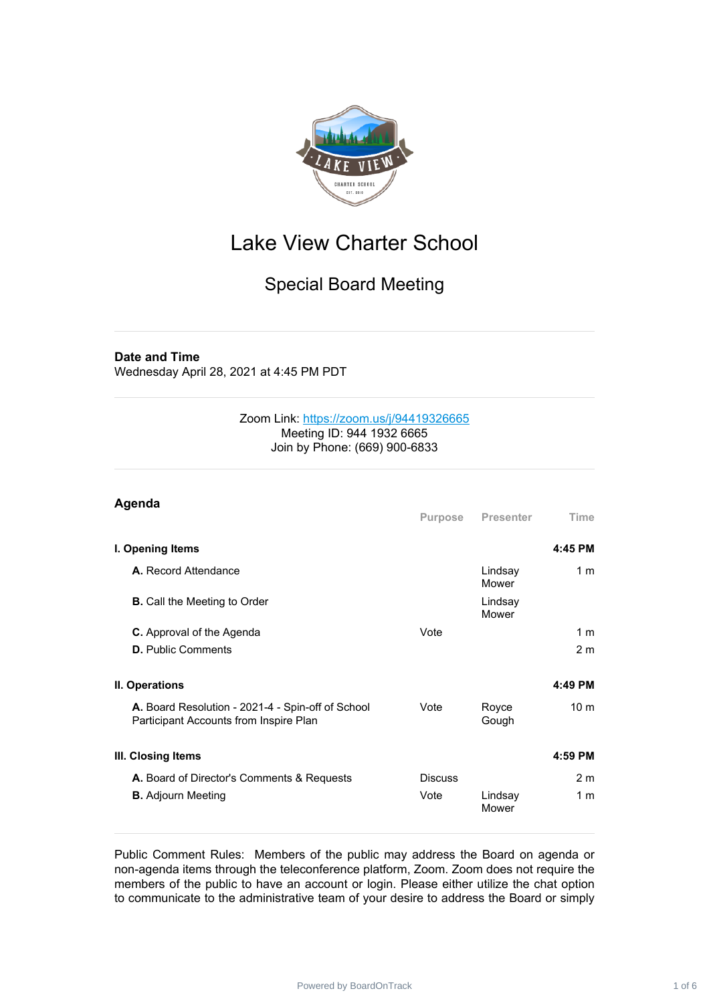

# Lake View Charter School

## Special Board Meeting

### **Date and Time**

Wednesday April 28, 2021 at 4:45 PM PDT

#### Zoom Link: <https://zoom.us/j/94419326665> Meeting ID: 944 1932 6665 Join by Phone: (669) 900-6833

| Agenda                                                                                      |                |                  |                 |
|---------------------------------------------------------------------------------------------|----------------|------------------|-----------------|
|                                                                                             | Purpose        | Presenter        | Time            |
| I. Opening Items                                                                            |                |                  | 4:45 PM         |
| <b>A.</b> Record Attendance                                                                 |                | Lindsay<br>Mower | 1 <sub>m</sub>  |
| <b>B.</b> Call the Meeting to Order                                                         |                | Lindsay<br>Mower |                 |
| <b>C.</b> Approval of the Agenda                                                            | Vote           |                  | 1 <sub>m</sub>  |
| <b>D.</b> Public Comments                                                                   |                |                  | 2 <sub>m</sub>  |
| II. Operations                                                                              |                |                  | 4:49 PM         |
| A. Board Resolution - 2021-4 - Spin-off of School<br>Participant Accounts from Inspire Plan | Vote           | Royce<br>Gough   | 10 <sub>m</sub> |
| III. Closing Items                                                                          |                |                  | 4:59 PM         |
| A. Board of Director's Comments & Requests                                                  | <b>Discuss</b> |                  | 2 <sub>m</sub>  |
| <b>B.</b> Adjourn Meeting                                                                   | Vote           | Lindsay<br>Mower | 1 <sub>m</sub>  |

Public Comment Rules: Members of the public may address the Board on agenda or non-agenda items through the teleconference platform, Zoom. Zoom does not require the members of the public to have an account or login. Please either utilize the chat option to communicate to the administrative team of your desire to address the Board or simply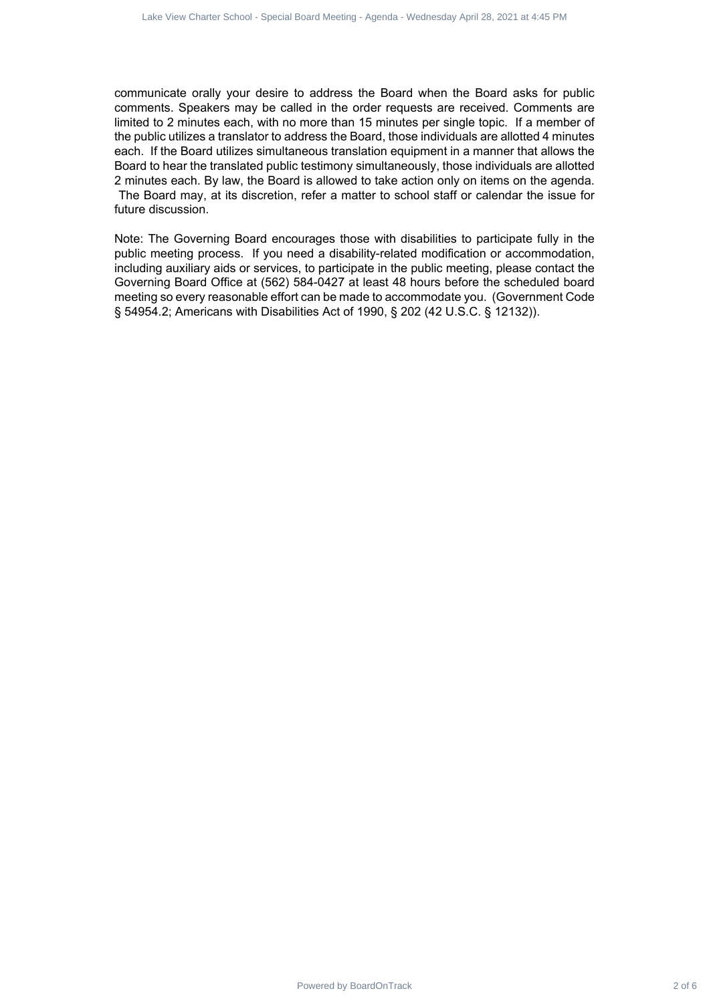communicate orally your desire to address the Board when the Board asks for public comments. Speakers may be called in the order requests are received. Comments are limited to 2 minutes each, with no more than 15 minutes per single topic. If a member of the public utilizes a translator to address the Board, those individuals are allotted 4 minutes each. If the Board utilizes simultaneous translation equipment in a manner that allows the Board to hear the translated public testimony simultaneously, those individuals are allotted 2 minutes each. By law, the Board is allowed to take action only on items on the agenda. The Board may, at its discretion, refer a matter to school staff or calendar the issue for future discussion. Powered by Board Contents 2 of 2 6Lake View Charter School - Special Board Charter School - Special Board Charter School - Special Board Charter School - Special Board Charter School - Special Board Charter School - Specia

Note: The Governing Board encourages those with disabilities to participate fully in the public meeting process. If you need a disability-related modification or accommodation, including auxiliary aids or services, to participate in the public meeting, please contact the Governing Board Office at (562) 584-0427 at least 48 hours before the scheduled board meeting so every reasonable effort can be made to accommodate you. (Government Code § 54954.2; Americans with Disabilities Act of 1990, § 202 (42 U.S.C. § 12132)).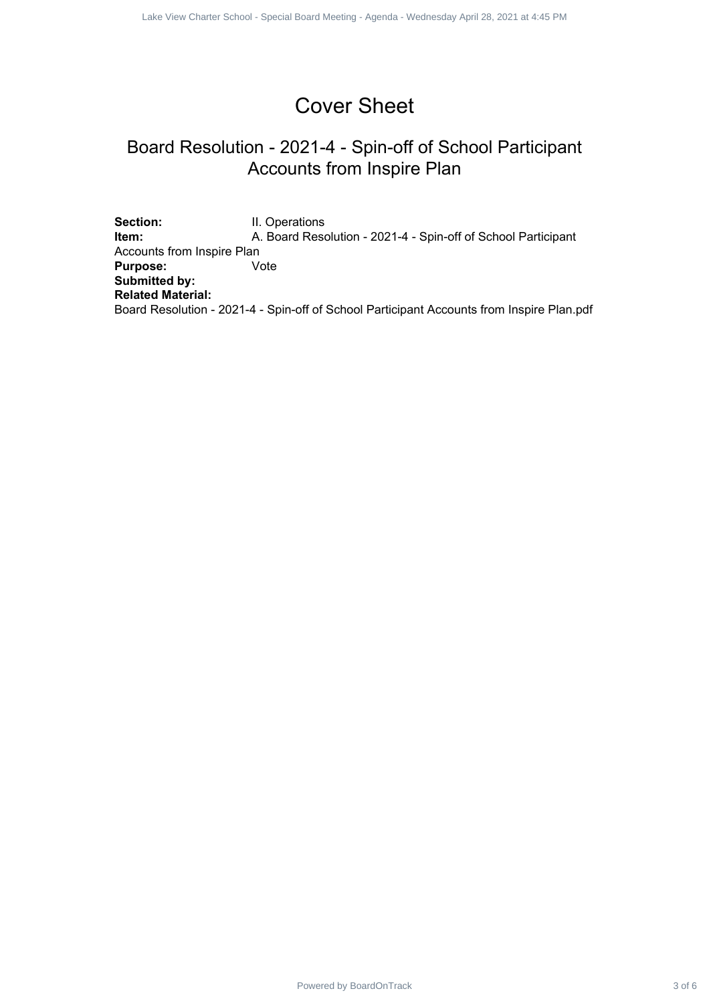# Cover Sheet

### Board Resolution - 2021-4 - Spin-off of School Participant Accounts from Inspire Plan

Section: **II. Operations Item:** A. Board Resolution - 2021-4 - Spin-off of School Participant Accounts from Inspire Plan **Purpose:** Vote **Submitted by: Related Material:** Board Resolution - 2021-4 - Spin-off of School Participant Accounts from Inspire Plan.pdf Powered By Power Sheet<br>
Dover Sheet<br>
Dover Sheet<br>
Powered Board Resolution - 2021-4 - Spin-off of School Participant<br>
Power View Charter School - A Board Rossinen - 2021-4 - Spin-off of School Participant<br>
Power View Chart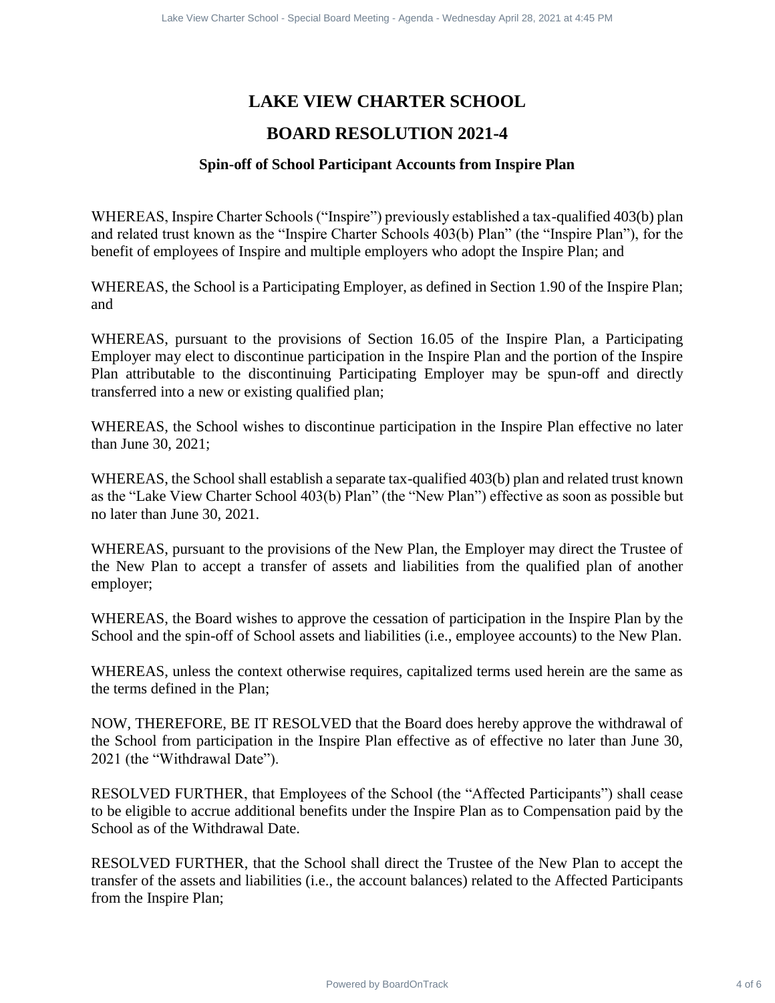## **LAKE VIEW CHARTER SCHOOL BOARD RESOLUTION 2021-4**

### **Spin-off of School Participant Accounts from Inspire Plan**

WHEREAS, Inspire Charter Schools ("Inspire") previously established a tax-qualified 403(b) plan and related trust known as the "Inspire Charter Schools 403(b) Plan" (the "Inspire Plan"), for the benefit of employees of Inspire and multiple employers who adopt the Inspire Plan; and

WHEREAS, the School is a Participating Employer, as defined in Section 1.90 of the Inspire Plan; and

WHEREAS, pursuant to the provisions of Section 16.05 of the Inspire Plan, a Participating Employer may elect to discontinue participation in the Inspire Plan and the portion of the Inspire Plan attributable to the discontinuing Participating Employer may be spun-off and directly transferred into a new or existing qualified plan; **LAKE VIEW CHARTER SCHOOL**<br> **LAKE VIEW CHARTER SCHOOL**<br> **BOARD RESOLUTION 2021-4**<br> **Spin-off of School Participant Accounts from Inspire Plan**<br> **Ship-off of School Participant Accounts from Inspire Plan**<br> **Ship-off of Sch** 

WHEREAS, the School wishes to discontinue participation in the Inspire Plan effective no later than June 30, 2021;

WHEREAS, the School shall establish a separate tax-qualified 403(b) plan and related trust known as the "Lake View Charter School 403(b) Plan" (the "New Plan") effective as soon as possible but no later than June 30, 2021.

WHEREAS, pursuant to the provisions of the New Plan, the Employer may direct the Trustee of the New Plan to accept a transfer of assets and liabilities from the qualified plan of another employer;

WHEREAS, the Board wishes to approve the cessation of participation in the Inspire Plan by the School and the spin-off of School assets and liabilities (i.e., employee accounts) to the New Plan.

WHEREAS, unless the context otherwise requires, capitalized terms used herein are the same as the terms defined in the Plan;

NOW, THEREFORE, BE IT RESOLVED that the Board does hereby approve the withdrawal of the School from participation in the Inspire Plan effective as of effective no later than June 30, 2021 (the "Withdrawal Date").

RESOLVED FURTHER, that Employees of the School (the "Affected Participants") shall cease to be eligible to accrue additional benefits under the Inspire Plan as to Compensation paid by the School as of the Withdrawal Date.

RESOLVED FURTHER, that the School shall direct the Trustee of the New Plan to accept the transfer of the assets and liabilities (i.e., the account balances) related to the Affected Participants from the Inspire Plan;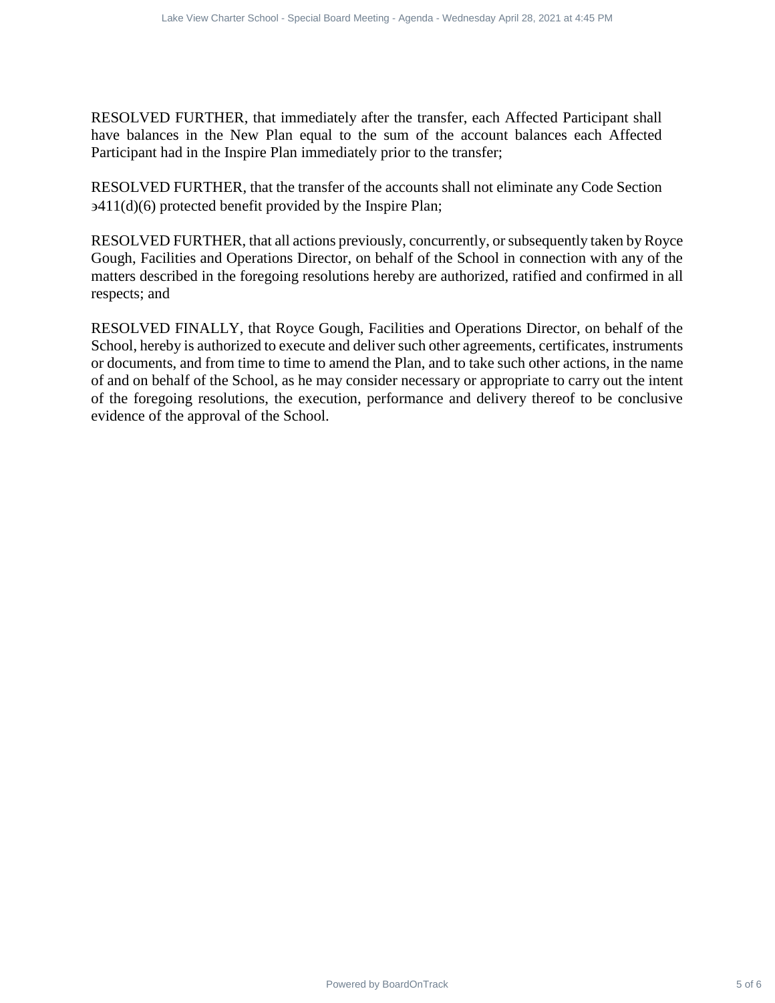RESOLVED FURTHER, that immediately after the transfer, each Affected Participant shall have balances in the New Plan equal to the sum of the account balances each Affected Participant had in the Inspire Plan immediately prior to the transfer;

RESOLVED FURTHER, that the transfer of the accounts shall not eliminate any Code Section  $\frac{1}{4}$ (d)(6) protected benefit provided by the Inspire Plan;

RESOLVED FURTHER, that all actions previously, concurrently, or subsequently taken by Royce Gough, Facilities and Operations Director, on behalf of the School in connection with any of the matters described in the foregoing resolutions hereby are authorized, ratified and confirmed in all respects; and

RESOLVED FINALLY, that Royce Gough, Facilities and Operations Director, on behalf of the School, hereby is authorized to execute and deliver such other agreements, certificates, instruments or documents, and from time to time to amend the Plan, and to take such other actions, in the name of and on behalf of the School, as he may consider necessary or appropriate to carry out the intent of the foregoing resolutions, the execution, performance and delivery thereof to be conclusive evidence of the approval of the School. Board Counter Struct - Special board View Ong - Species - Wednesday spin 20, 2021 at 4:45 PM<br>
D I URTHER, that interactionally galler the transfer, such Allforded Participant shall<br>and the heap Pape Plan Interactionally pr